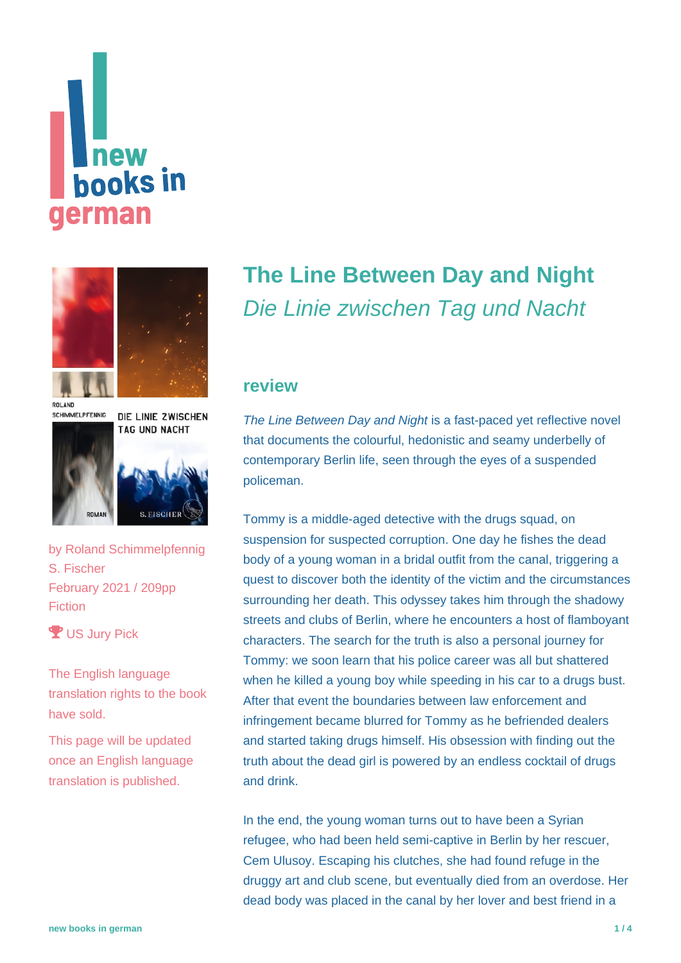# new **books** in german



ROLAND **SCHIMMELPFENNIG** 

DIE LINIE ZWISCHEN TAG UND NACHT





by [Roland Schimmelpfennig](https://www.new-books-in-german.com/recommendations/?searchInput=Roland%20Schimmelpfennig%20) S. Fischer February 2021 / 209pp Fiction

**Y** US Jury Pick

The English language translation rights to the book have sold.

This page will be updated once an English language translation is published.

## **[The Line Between Day and Night](https://www.new-books-in-german.com/recommendations/the-line-between-day-and-night/)** Die Linie zwischen Tag und Nacht

#### **review**

The Line Between Day and Night is a fast-paced yet reflective novel that documents the colourful, hedonistic and seamy underbelly of contemporary Berlin life, seen through the eyes of a suspended policeman.

Tommy is a middle-aged detective with the drugs squad, on suspension for suspected corruption. One day he fishes the dead body of a young woman in a bridal outfit from the canal, triggering a quest to discover both the identity of the victim and the circumstances surrounding her death. This odyssey takes him through the shadowy streets and clubs of Berlin, where he encounters a host of flamboyant characters. The search for the truth is also a personal journey for Tommy: we soon learn that his police career was all but shattered when he killed a young boy while speeding in his car to a drugs bust. After that event the boundaries between law enforcement and infringement became blurred for Tommy as he befriended dealers and started taking drugs himself. His obsession with finding out the truth about the dead girl is powered by an endless cocktail of drugs and drink.

In the end, the young woman turns out to have been a Syrian refugee, who had been held semi-captive in Berlin by her rescuer, Cem Ulusoy. Escaping his clutches, she had found refuge in the druggy art and club scene, but eventually died from an overdose. Her dead body was placed in the canal by her lover and best friend in a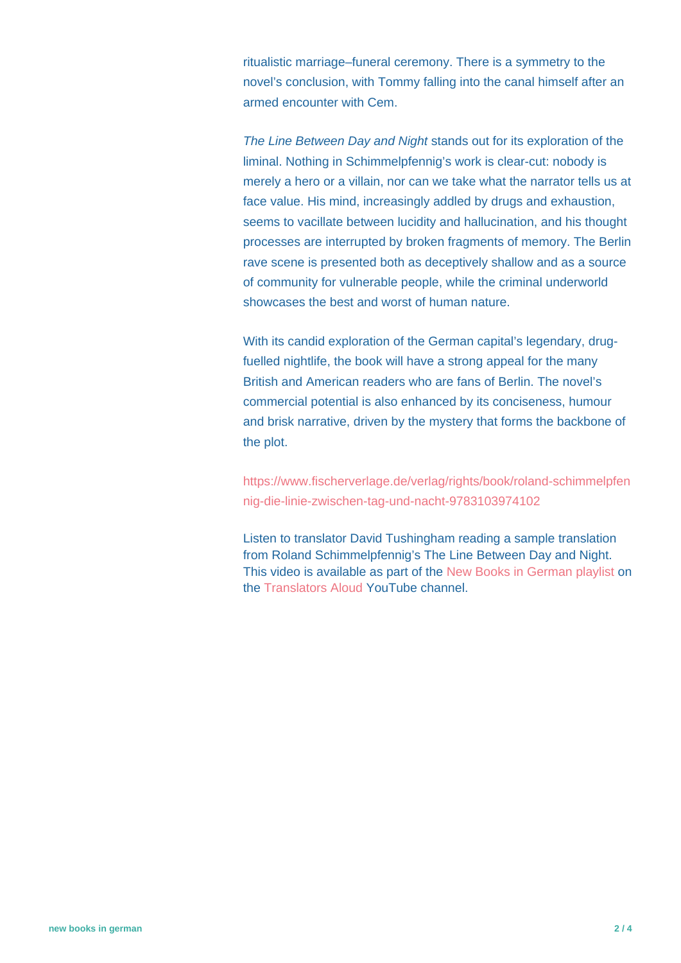ritualistic marriage–funeral ceremony. There is a symmetry to the novel's conclusion, with Tommy falling into the canal himself after an armed encounter with Cem.

The Line Between Day and Night stands out for its exploration of the liminal. Nothing in Schimmelpfennig's work is clear-cut: nobody is merely a hero or a villain, nor can we take what the narrator tells us at face value. His mind, increasingly addled by drugs and exhaustion, seems to vacillate between lucidity and hallucination, and his thought processes are interrupted by broken fragments of memory. The Berlin rave scene is presented both as deceptively shallow and as a source of community for vulnerable people, while the criminal underworld showcases the best and worst of human nature.

With its candid exploration of the German capital's legendary, drugfuelled nightlife, the book will have a strong appeal for the many British and American readers who are fans of Berlin. The novel's commercial potential is also enhanced by its conciseness, humour and brisk narrative, driven by the mystery that forms the backbone of the plot.

[https://www.fischerverlage.de/verlag/rights/book/roland-schimmelpfen](https://www.fischerverlage.de/verlag/rights/book/roland-schimmelpfennig-die-linie-zwischen-tag-und-nacht-9783103974102) [nig-die-linie-zwischen-tag-und-nacht-9783103974102](https://www.fischerverlage.de/verlag/rights/book/roland-schimmelpfennig-die-linie-zwischen-tag-und-nacht-9783103974102)

Listen to translator David Tushingham reading a sample translation from Roland Schimmelpfennig's The Line Between Day and Night. This video is available as part of the [New Books in German playlist](https://www.youtube.com/playlist?list=PLb79xn1QTw3y-uP2es2qBbOQQbhOkcbEx) on the [Translators Aloud](https://www.youtube.com/c/TranslatorsAloud) YouTube channel.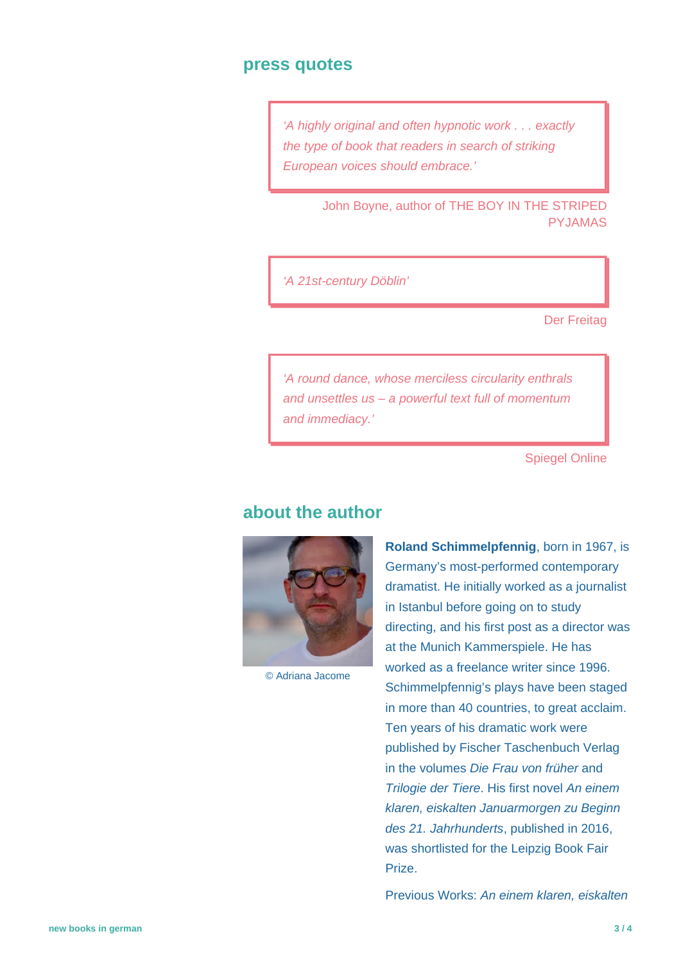#### **press quotes**

'A highly original and often hypnotic work . . . exactly the type of book that readers in search of striking European voices should embrace.'

> John Boyne, author of THE BOY IN THE STRIPED PYJAMAS

'A 21st-century Döblin'

Der Freitag

'A round dance, whose merciless circularity enthrals and unsettles us – a powerful text full of momentum and immediacy.'

Spiegel Online

#### **about the author**



© Adriana Jacome

**Roland Schimmelpfennig**, born in 1967, is Germany's most-performed contemporary dramatist. He initially worked as a journalist in Istanbul before going on to study directing, and his first post as a director was at the Munich Kammerspiele. He has worked as a freelance writer since 1996. Schimmelpfennig's plays have been staged in more than 40 countries, to great acclaim. Ten years of his dramatic work were published by Fischer Taschenbuch Verlag in the volumes Die Frau von früher and Trilogie der Tiere. His first novel An einem klaren, eiskalten Januarmorgen zu Beginn des 21. Jahrhunderts, published in 2016, was shortlisted for the Leipzig Book Fair Prize.

Previous Works: An einem klaren, eiskalten